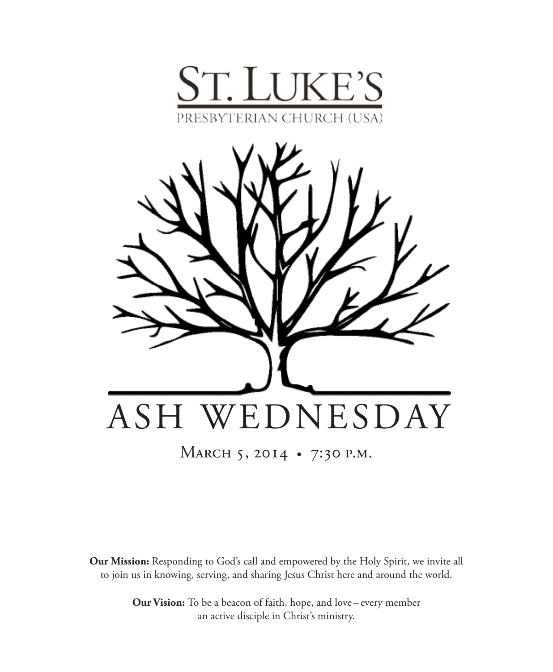



MARCH 5, 2014 • 7:30 P.M.

**Our Mission:** Responding to God's call and empowered by the Holy Spirit, we invite all to join us in knowing, serving, and sharing Jesus Christ here and around the world.

> **Our Vision:** To be a beacon of faith, hope, and love – every member an active disciple in Christ's ministry.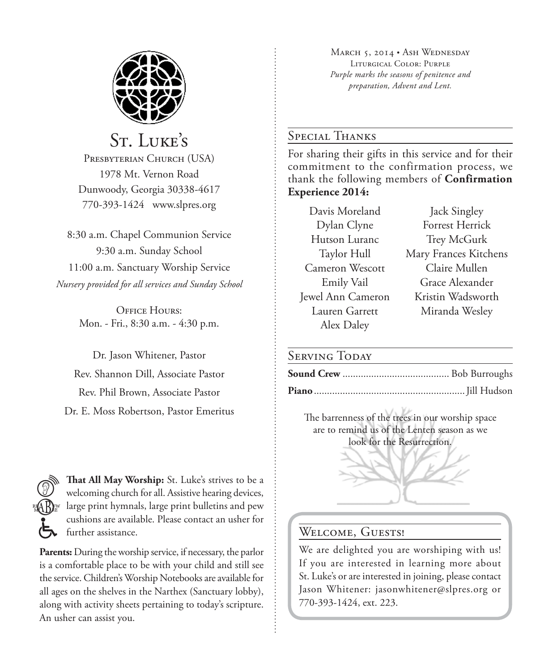

St. Luke's

PRESBYTERIAN CHURCH (USA) 1978 Mt. Vernon Road Dunwoody, Georgia 30338-4617 770-393-1424 www.slpres.org

8:30 a.m. Chapel Communion Service 9:30 a.m. Sunday School 11:00 a.m. Sanctuary Worship Service *Nursery provided for all services and Sunday School*

> **OFFICE HOURS:** Mon. - Fri., 8:30 a.m. - 4:30 p.m.

Dr. Jason Whitener, Pastor Rev. Shannon Dill, Associate Pastor Rev. Phil Brown, Associate Pastor Dr. E. Moss Robertson, Pastor Emeritus

**That All May Worship:** St. Luke's strives to be a welcoming church for all. Assistive hearing devices, large print hymnals, large print bulletins and pew cushions are available. Please contact an usher for further assistance.

**Parents:** During the worship service, if necessary, the parlor is a comfortable place to be with your child and still see the service. Children's Worship Notebooks are available for all ages on the shelves in the Narthex (Sanctuary lobby), along with activity sheets pertaining to today's scripture. An usher can assist you.

MARCH 5, 2014 • ASH WEDNESDAY Liturgical Color: Purple *Purple marks the seasons of penitence and preparation, Advent and Lent.* 

## Special Thanks

For sharing their gifts in this service and for their commitment to the confirmation process, we thank the following members of **Confirmation Experience 2014:**

Davis Moreland Jack Singley Cameron Wescott Claire Mullen Alex Daley

Dylan Clyne Forrest Herrick Hutson Luranc Trey McGurk Taylor Hull Mary Frances Kitchens Emily Vail Grace Alexander Jewel Ann Cameron Kristin Wadsworth Lauren Garrett Miranda Wesley

### SERVING TODAY

The barrenness of the trees in our worship space are to remind us of the Lenten season as we look for the Resurrection.

# WELCOME, GUESTS!

We are delighted you are worshiping with us! If you are interested in learning more about St. Luke's or are interested in joining, please contact Jason Whitener: jasonwhitener@slpres.org or 770-393-1424, ext. 223.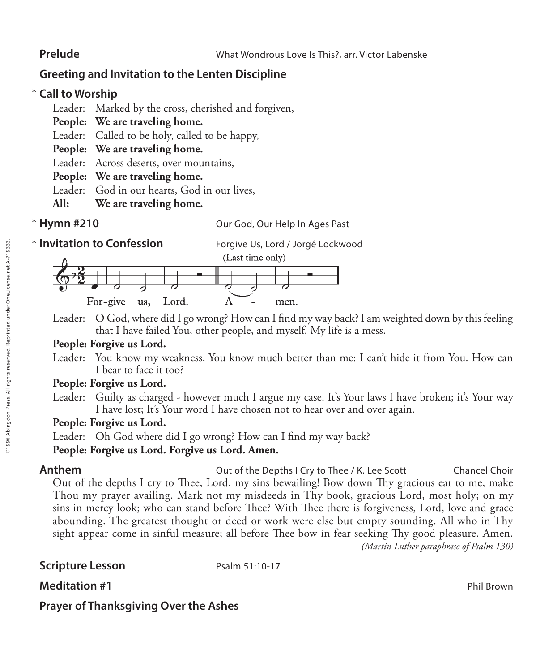# **Greeting and Invitation to the Lenten Discipline**

# **Call to Worship**  \*

Leader: Marked by the cross, cherished and forgiven,

- **People: We are traveling home.**
- Leader: Called to be holy, called to be happy,
- **People: We are traveling home.**
- Leader: Across deserts, over mountains,
- **People: We are traveling home.**
- Leader: God in our hearts, God in our lives,
- **All: We are traveling home.**
- \* Hymn #210

**Our God, Our Help In Ages Past** 

**\* Invitation to Confession** 

**Invitation to Confession** Forgive Us, Lord / Jorgé Lockwood



Leader: O God, where did I go wrong? How can I find my way back? I am weighted down by this feeling that I have failed You, other people, and myself. My life is a mess.

# **People: Forgive us Lord.**

Leader: You know my weakness, You know much better than me: I can't hide it from You. How can I bear to face it too?

# **People: Forgive us Lord.**

Leader: Guilty as charged - however much I argue my case. It's Your laws I have broken; it's Your way I have lost; It's Your word I have chosen not to hear over and over again.

# **People: Forgive us Lord.**

Leader: Oh God where did I go wrong? How can I find my way back?

# **People: Forgive us Lord. Forgive us Lord. Amen.**

**Anthem Cancel Choir** Out of the Depths I Cry to Thee / K. Lee Scott Chancel Choir Out of the depths I cry to Thee, Lord, my sins bewailing! Bow down Thy gracious ear to me, make Thou my prayer availing. Mark not my misdeeds in Thy book, gracious Lord, most holy; on my sins in mercy look; who can stand before Thee? With Thee there is forgiveness, Lord, love and grace abounding. The greatest thought or deed or work were else but empty sounding. All who in Thy sight appear come in sinful measure; all before Thee bow in fear seeking Thy good pleasure. Amen. *(Martin Luther paraphrase of Psalm 130)*

# **Scripture Lesson** Psalm 51:10-17

**Meditation #1** Phil Brown **Meditation #1** Phil Brown **Phil Brown** 

# **Prayer of Thanksgiving Over the Ashes**